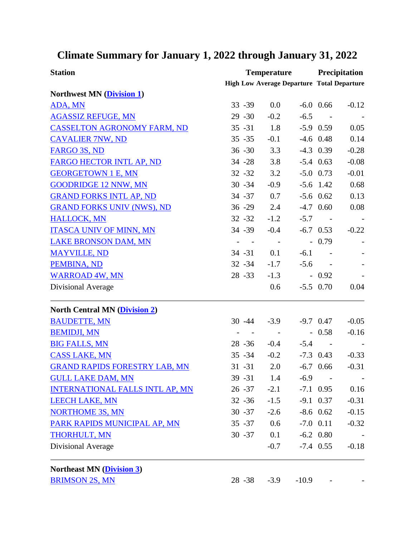## **Climate Summary for January 1, 2022 through January 31, 2022**

| <b>Station</b>                         | <b>Temperature</b>                                |                          |         | Precipitation           |         |
|----------------------------------------|---------------------------------------------------|--------------------------|---------|-------------------------|---------|
|                                        | <b>High Low Average Departure Total Departure</b> |                          |         |                         |         |
| Northwest MN (Division 1)              |                                                   |                          |         |                         |         |
| ADA, MN                                | $33 - 39$                                         | 0.0                      |         | $-6.0$ 0.66             | $-0.12$ |
| <b>AGASSIZ REFUGE, MN</b>              | $29 - 30$                                         | $-0.2$                   | $-6.5$  | $\sim$ $-$              |         |
| <b>CASSELTON AGRONOMY FARM, ND</b>     | $35 - 31$                                         | 1.8                      |         | $-5.9$ 0.59             | 0.05    |
| <b>CAVALIER 7NW, ND</b>                | $35 - 35$                                         | $-0.1$                   |         | $-4.6$ 0.48             | 0.14    |
| FARGO 3S, ND                           | $36 - 30$                                         | 3.3                      |         | $-4.3$ 0.39             | $-0.28$ |
| FARGO HECTOR INTL AP, ND               | $34 - 28$                                         | 3.8                      |         | $-5.4$ 0.63             | $-0.08$ |
| <b>GEORGETOWN 1 E, MN</b>              | $32 - 32$                                         | 3.2                      |         | $-5.0$ 0.73             | $-0.01$ |
| <b>GOODRIDGE 12 NNW, MN</b>            | $30 - 34$                                         | $-0.9$                   |         | $-5.6$ 1.42             | 0.68    |
| <b>GRAND FORKS INTL AP, ND</b>         | 34 - 37                                           | 0.7                      |         | $-5.6$ 0.62             | 0.13    |
| <b>GRAND FORKS UNIV (NWS), ND</b>      | $36 - 29$                                         | 2.4                      |         | $-4.7$ 0.60             | 0.08    |
| <b>HALLOCK, MN</b>                     | $32 - 32$                                         | $-1.2$                   | $-5.7$  | $\sim 100$ km s $^{-1}$ |         |
| <b>ITASCA UNIV OF MINN, MN</b>         | 34 - 39                                           | $-0.4$                   |         | $-6.7$ 0.53             | $-0.22$ |
| <b>LAKE BRONSON DAM, MN</b>            | $\overline{\phantom{a}}$                          | $\sim$ $-$               |         | $-0.79$                 |         |
| <b>MAYVILLE, ND</b>                    | $34 - 31$                                         | 0.1                      | $-6.1$  |                         |         |
| PEMBINA, ND                            | $32 - 34$                                         | $-1.7$                   | $-5.6$  | $\sim 100$              |         |
| <b>WARROAD 4W, MN</b>                  | $28 - 33$                                         | $-1.3$                   |         | $-0.92$                 |         |
| Divisional Average                     |                                                   | 0.6                      |         | $-5.5$ 0.70             | 0.04    |
| <b>North Central MN (Division 2)</b>   |                                                   |                          |         |                         |         |
| <b>BAUDETTE, MN</b>                    | $30 - 44$                                         | $-3.9$                   |         | $-9.7$ 0.47             | $-0.05$ |
| <b>BEMIDJI, MN</b>                     |                                                   | $\overline{\phantom{a}}$ |         | $-0.58$                 | $-0.16$ |
| <b>BIG FALLS, MN</b>                   | $28 - 36$                                         | $-0.4$                   | $-5.4$  | $\sim$ $-$              |         |
| <b>CASS LAKE, MN</b>                   | $35 - 34$                                         | $-0.2$                   |         | $-7.3$ 0.43             | $-0.33$ |
| <b>GRAND RAPIDS FORESTRY LAB, MN</b>   | $31 - 31$                                         | 2.0                      |         | $-6.7$ 0.66             | $-0.31$ |
| <b>GULL LAKE DAM, MN</b>               | $39 - 31$                                         | 1.4                      | $-6.9$  |                         |         |
| <b>INTERNATIONAL FALLS INTL AP, MN</b> | $26 - 37$                                         | $-2.1$                   |         | $-7.1$ 0.95             | 0.16    |
| <b>LEECH LAKE, MN</b>                  | $32 - 36$                                         | $-1.5$                   |         | $-9.1$ 0.37             | $-0.31$ |
| <b>NORTHOME 3S, MN</b>                 | $30 - 37$                                         | $-2.6$                   |         | $-8.6$ 0.62             | $-0.15$ |
| PARK RAPIDS MUNICIPAL AP, MN           | $35 - 37$                                         | 0.6                      |         | $-7.0$ $0.11$           | $-0.32$ |
| <b>THORHULT, MN</b>                    | $30 - 37$                                         | 0.1                      |         | $-6.2$ 0.80             |         |
| Divisional Average                     |                                                   | $-0.7$                   |         | $-7.4$ 0.55             | $-0.18$ |
| <b>Northeast MN (Division 3)</b>       |                                                   |                          |         |                         |         |
| <b>BRIMSON 2S, MN</b>                  | $28 - 38$                                         | $-3.9$                   | $-10.9$ |                         |         |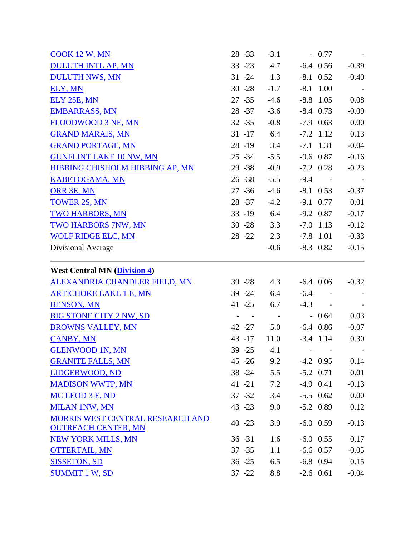| <b>COOK 12 W, MN</b>                                           | $28 - 33$     | $-3.1$     | $-0.77$     |                            |
|----------------------------------------------------------------|---------------|------------|-------------|----------------------------|
| <b>DULUTH INTL AP, MN</b>                                      | $33 - 23$     | 4.7        | $-6.4$ 0.56 | $-0.39$                    |
| <b>DULUTH NWS, MN</b>                                          | $31 - 24$     | 1.3        | $-8.1$ 0.52 | $-0.40$                    |
| ELY, MN                                                        | $30 - 28$     | $-1.7$     | $-8.1$ 1.00 |                            |
| ELY 25E, MN                                                    | $27 - 35$     | $-4.6$     | $-8.8$ 1.05 | 0.08                       |
| <b>EMBARRASS, MN</b>                                           | $28 - 37$     | $-3.6$     | $-8.4$ 0.73 | $-0.09$                    |
| FLOODWOOD 3 NE, MN                                             | $32 - 35$     | $-0.8$     | $-7.9$ 0.63 | 0.00                       |
| <b>GRAND MARAIS, MN</b>                                        | $31 - 17$ 6.4 |            | $-7.2$ 1.12 | 0.13                       |
| <b>GRAND PORTAGE, MN</b>                                       | $28 - 19$     | 3.4        | $-7.1$ 1.31 | $-0.04$                    |
| <b>GUNFLINT LAKE 10 NW, MN</b>                                 | $25 - 34$     | $-5.5$     | $-9.6$ 0.87 | $-0.16$                    |
| <b>HIBBING CHISHOLM HIBBING AP, MN</b>                         | $29 - 38$     | $-0.9$     | $-7.2$ 0.28 | $-0.23$                    |
| <b>KABETOGAMA, MN</b>                                          | $26 - 38$     | $-5.5$     | $-9.4 -$    |                            |
| ORR 3E, MN                                                     | $27 - 36$     | $-4.6$     | $-8.1$ 0.53 | $-0.37$                    |
| <b>TOWER 2S, MN</b>                                            | $28 - 37$     | $-4.2$     | $-9.1$ 0.77 | 0.01                       |
| TWO HARBORS, MN                                                | $33 - 19$     | 6.4        | $-9.2$ 0.87 | $-0.17$                    |
| <b>TWO HARBORS 7NW, MN</b>                                     | $30 - 28$     | 3.3        | $-7.0$ 1.13 | $-0.12$                    |
| <b>WOLF RIDGE ELC, MN</b>                                      | $28 - 22$     | 2.3        | $-7.8$ 1.01 | $-0.33$                    |
| Divisional Average                                             |               | $-0.6$     | $-8.3$ 0.82 | $-0.15$                    |
| <b>West Central MN (Division 4)</b>                            |               |            |             |                            |
| <b>ALEXANDRIA CHANDLER FIELD, MN</b>                           | $39 - 28$     | 4.3        | $-6.4$ 0.06 | $-0.32$                    |
| <b>ARTICHOKE LAKE 1 E, MN</b>                                  | $39 - 24$     | 6.4        | $-6.4 -$    |                            |
| <b>BENSON, MN</b>                                              | $41 - 25$     | 6.7        | $-4.3 -$    |                            |
| <b>BIG STONE CITY 2 NW, SD</b>                                 | $\sim$ $-$    | $\sim$ $-$ | $-0.64$     | 0.03                       |
| <b>BROWNS VALLEY, MN</b>                                       | 42 - 27       | 5.0        | $-6.4$ 0.86 | $-0.07$                    |
| <b>CANBY, MN</b>                                               | $43 - 17$     | 11.0       | $-3.4$ 1.14 | 0.30                       |
| <b>GLENWOOD 1N, MN</b>                                         | 39 - 25       | 4.1        |             | man and man and control of |
| <b>GRANITE FALLS, MN</b>                                       | $45 - 26$     | 9.2        | $-4.2$ 0.95 | 0.14                       |
| LIDGERWOOD, ND                                                 | $38 - 24$     | 5.5        | $-5.2$ 0.71 | 0.01                       |
| <b>MADISON WWTP, MN</b>                                        | $41 - 21$     | 7.2        | $-4.9$ 0.41 | $-0.13$                    |
| MC LEOD 3 E, ND                                                | $37 - 32$     | 3.4        | $-5.5$ 0.62 | 0.00                       |
| <b>MILAN 1NW, MN</b>                                           | $43 - 23$     | 9.0        | $-5.2$ 0.89 | 0.12                       |
| MORRIS WEST CENTRAL RESEARCH AND<br><b>OUTREACH CENTER, MN</b> | $40 - 23$     | 3.9        | $-6.0$ 0.59 | $-0.13$                    |
| <b>NEW YORK MILLS, MN</b>                                      | $36 - 31$     | 1.6        | $-6.0$ 0.55 | 0.17                       |
| <b>OTTERTAIL, MN</b>                                           | $37 - 35$     | 1.1        | $-6.6$ 0.57 | $-0.05$                    |
| <b>SISSETON, SD</b>                                            | $36 - 25$     | 6.5        | $-6.8$ 0.94 | 0.15                       |
| <b>SUMMIT 1 W, SD</b>                                          |               |            |             |                            |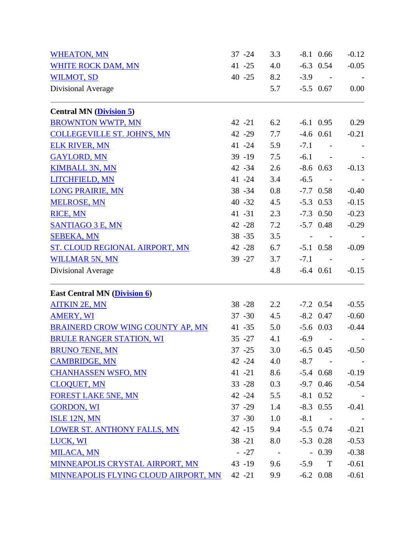| <b>WHEATON, MN</b>                         | $37 - 24$ | 3.3        |        | $-8.1$ 0.66 | $-0.12$ |
|--------------------------------------------|-----------|------------|--------|-------------|---------|
| <b>WHITE ROCK DAM, MN</b>                  | $41 - 25$ | 4.0        |        | $-6.3$ 0.54 | $-0.05$ |
| <b>WILMOT, SD</b>                          | $40 - 25$ | 8.2        |        | $-3.9 -$    |         |
| Divisional Average                         |           | 5.7        |        | $-5.5$ 0.67 | 0.00    |
| <b>Central MN</b> ( <i>Division 5</i> )    |           |            |        |             |         |
| <b>BROWNTON WWTP, MN</b>                   | $42 - 21$ | 6.2        |        | $-6.1$ 0.95 | 0.29    |
| <b>COLLEGEVILLE ST. JOHN'S, MN</b>         | $42 - 29$ | 7.7        |        | $-4.6$ 0.61 | $-0.21$ |
| <b>ELK RIVER, MN</b>                       | $41 - 24$ | 5.9        | $-7.1$ | $\sim$ $-$  |         |
| <b>GAYLORD, MN</b>                         | $39 - 19$ | 7.5        | $-6.1$ | $\sim$ $-$  |         |
| <b>KIMBALL 3N, MN</b>                      | 42 - 34   | 2.6        |        | $-8.6$ 0.63 | $-0.13$ |
| LITCHFIELD, MN                             | $41 - 24$ | 3.4        | $-6.5$ |             |         |
| <b>LONG PRAIRIE, MN</b>                    | $38 - 34$ | 0.8        |        | $-7.7$ 0.58 | $-0.40$ |
| <b>MELROSE, MN</b>                         | $40 - 32$ | 4.5        |        | $-5.3$ 0.53 | $-0.15$ |
| <b>RICE, MN</b>                            | $41 - 31$ | 2.3        |        | $-7.3$ 0.50 | $-0.23$ |
| <b>SANTIAGO 3 E, MN</b>                    | $42 - 28$ | 7.2        |        | $-5.7$ 0.48 | $-0.29$ |
| <b>SEBEKA, MN</b>                          | $38 - 35$ | 3.5        |        |             |         |
| ST. CLOUD REGIONAL AIRPORT, MN             | $42 - 28$ | 6.7        |        | $-5.1$ 0.58 | $-0.09$ |
| <b>WILLMAR 5N, MN</b>                      | $39 - 27$ | 3.7        | $-7.1$ |             |         |
| Divisional Average                         |           | 4.8        |        | $-6.4$ 0.61 | $-0.15$ |
| <b>East Central MN (Division 6)</b>        |           |            |        |             |         |
| <b>AITKIN 2E, MN</b>                       | $38 - 28$ | 2.2        |        | $-7.2$ 0.54 | $-0.55$ |
| <b>AMERY, WI</b>                           | $37 - 30$ | 4.5        |        | $-8.2$ 0.47 | $-0.60$ |
| BRAINERD CROW WING COUNTY AP, MN           | $41 - 35$ | 5.0        |        | $-5.6$ 0.03 | $-0.44$ |
| <b>BRULE RANGER STATION, WI</b>            | $35 - 27$ | 4.1        | $-6.9$ |             |         |
| <b>BRUNO 7ENE, MN</b>                      | $37 - 25$ | 3.0        |        | $-6.5$ 0.45 | $-0.50$ |
| <b>CAMBRIDGE, MN</b>                       | 42 -24    | 4.0        |        | $-8.7 -$    |         |
| <b>CHANHASSEN WSFO, MN</b>                 | $41 - 21$ | 8.6        |        | $-5.4$ 0.68 | $-0.19$ |
| <b>CLOQUET, MN</b>                         | $33 - 28$ | 0.3        |        | $-9.7$ 0.46 | $-0.54$ |
| <b>FOREST LAKE 5NE, MN</b>                 | $42 - 24$ | 5.5        |        | $-8.1$ 0.52 |         |
| <b>GORDON, WI</b>                          | $37 - 29$ | 1.4        |        | $-8.3$ 0.55 | $-0.41$ |
| <b>ISLE 12N, MN</b>                        | $37 - 30$ | 1.0        |        | $-8.1 -$    |         |
| <b>LOWER ST. ANTHONY FALLS, MN</b>         | $42 - 15$ | 9.4        |        | $-5.5$ 0.74 | $-0.21$ |
| LUCK, WI                                   | $38 - 21$ | 8.0        |        | $-5.3$ 0.28 | $-0.53$ |
| <b>MILACA, MN</b>                          | $-27$     | $\sim$ $-$ |        | $-0.39$     | $-0.38$ |
| <b>MINNEAPOLIS CRYSTAL AIRPORT, MN</b>     | $43 - 19$ | 9.6        |        | $-5.9$ T    | $-0.61$ |
| MINNEAPOLIS FLYING CLOUD AIRPORT, MN 42-21 |           | 9.9        |        | $-6.2$ 0.08 | $-0.61$ |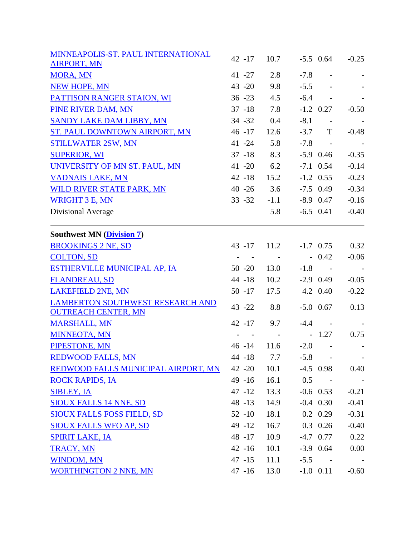| MINNEAPOLIS-ST. PAUL INTERNATIONAL                                    | $42 - 17$ | 10.7       |        | $-5.5$ 0.64              | $-0.25$                  |
|-----------------------------------------------------------------------|-----------|------------|--------|--------------------------|--------------------------|
| <b>AIRPORT, MN</b>                                                    |           |            |        |                          |                          |
| <b>MORA, MN</b>                                                       | $41 - 27$ | 2.8        | $-7.8$ | $\overline{\phantom{a}}$ |                          |
| <b>NEW HOPE, MN</b>                                                   | $43 - 20$ | 9.8        | $-5.5$ |                          |                          |
| PATTISON RANGER STAION, WI                                            | $36 - 23$ | 4.5        | $-6.4$ | $\sim 100$ m $^{-1}$     |                          |
| PINE RIVER DAM, MN                                                    | $37 - 18$ | 7.8        |        | $-1.2$ 0.27              | $-0.50$                  |
| SANDY LAKE DAM LIBBY, MN                                              | $34 - 32$ | 0.4        | $-8.1$ | $\sim$ $-$               |                          |
| ST. PAUL DOWNTOWN AIRPORT, MN                                         | $46 - 17$ | 12.6       | $-3.7$ | T                        | $-0.48$                  |
| <b>STILLWATER 2SW, MN</b>                                             | $41 - 24$ | 5.8        | $-7.8$ | $\sim 100$               |                          |
| <b>SUPERIOR, WI</b>                                                   | $37 - 18$ | 8.3        |        | $-5.9$ 0.46              | $-0.35$                  |
| UNIVERSITY OF MN ST. PAUL, MN                                         | $41 - 20$ | 6.2        |        | $-7.1$ 0.54              | $-0.14$                  |
| <b>VADNAIS LAKE, MN</b>                                               | $42 - 18$ | 15.2       |        | $-1.2$ 0.55              | $-0.23$                  |
| WILD RIVER STATE PARK, MN                                             | $40 - 26$ | 3.6        |        | $-7.5$ 0.49              | $-0.34$                  |
| <b>WRIGHT 3 E, MN</b>                                                 | $33 - 32$ | $-1.1$     |        | $-8.9$ 0.47              | $-0.16$                  |
| Divisional Average                                                    |           | 5.8        |        | $-6.5$ 0.41              | $-0.40$                  |
| <b>Southwest MN (Division 7)</b>                                      |           |            |        |                          |                          |
| <b>BROOKINGS 2 NE, SD</b>                                             | $43 - 17$ | 11.2       |        | $-1.7$ 0.75              | 0.32                     |
| <b>COLTON, SD</b>                                                     |           |            |        | $-0.42$                  | $-0.06$                  |
| ESTHERVILLE MUNICIPAL AP, IA                                          | $50 - 20$ | 13.0       | $-1.8$ | $\sim 100$ km $^{-1}$    | $\overline{\phantom{a}}$ |
| <b>FLANDREAU, SD</b>                                                  | 44 -18    | 10.2       |        | $-2.9$ 0.49              | $-0.05$                  |
| <b>LAKEFIELD 2NE, MN</b>                                              | $50 - 17$ | 17.5       |        | 4.2 0.40                 | $-0.22$                  |
| <b>LAMBERTON SOUTHWEST RESEARCH AND</b><br><b>OUTREACH CENTER, MN</b> | 43 - 22   | 8.8        |        | $-5.0$ 0.67              | 0.13                     |
| <b>MARSHALL, MN</b>                                                   | $42 - 17$ | 9.7        | $-4.4$ | $\sim$ $-$               |                          |
| <b>MINNEOTA, MN</b>                                                   |           | $\sim$ $-$ |        | $-1.27$                  | 0.75                     |
| PIPESTONE, MN                                                         | $46 - 14$ | 11.6       | $-2.0$ | $\sim$                   |                          |
| <b>REDWOOD FALLS, MN</b>                                              | 44 -18    | 7.7        | $-5.8$ |                          |                          |
| REDWOOD FALLS MUNICIPAL AIRPORT, MN                                   | $42 - 20$ | 10.1       |        | $-4.5$ 0.98              | 0.40                     |
| <b>ROCK RAPIDS, IA</b>                                                | $49 - 16$ | 16.1       | 0.5    | $\sim$ $-$               |                          |
| <b>SIBLEY, IA</b>                                                     | $47 - 12$ | 13.3       |        | $-0.6$ 0.53              | $-0.21$                  |
| <b>SIOUX FALLS 14 NNE, SD</b>                                         | 48 -13    | 14.9       |        | $-0.4$ 0.30              | $-0.41$                  |
| <b>SIOUX FALLS FOSS FIELD, SD</b>                                     | $52 - 10$ | 18.1       |        | $0.2 \quad 0.29$         | $-0.31$                  |
| <b>SIOUX FALLS WFO AP, SD</b>                                         | $49 - 12$ | 16.7       |        | $0.3$ 0.26               | $-0.40$                  |
| <b>SPIRIT LAKE, IA</b>                                                | 48 -17    | 10.9       |        | $-4.7$ 0.77              | 0.22                     |
| <b>TRACY, MN</b>                                                      | $42 - 16$ | 10.1       |        | $-3.9$ 0.64              | 0.00                     |
| <b>WINDOM, MN</b>                                                     | $47 - 15$ | 11.1       |        | $-5.5 -$                 |                          |
| <b>WORTHINGTON 2 NNE, MN</b>                                          | 47 -16    | 13.0       |        | $-1.0$ 0.11              | $-0.60$                  |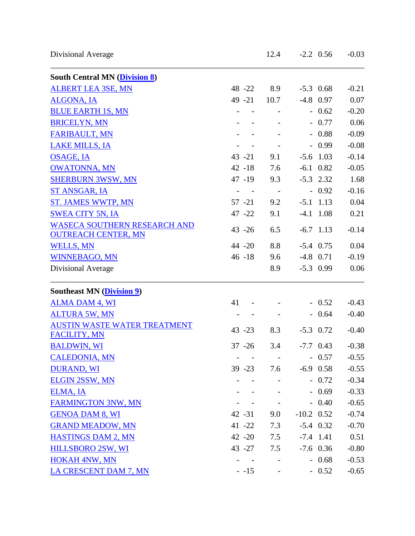| <b>South Central MN (Division 8)</b> |           |                          |              |             |         |
|--------------------------------------|-----------|--------------------------|--------------|-------------|---------|
| <b>ALBERT LEA 3SE, MN</b>            | 48 - 22   | 8.9                      |              | $-5.3$ 0.68 | $-0.21$ |
| <b>ALGONA, IA</b>                    | $49 - 21$ | 10.7                     | $-4.8$ 0.97  |             | 0.07    |
| <b>BLUE EARTH 1S, MN</b>             |           |                          |              | $-0.62$     | $-0.20$ |
| <b>BRICELYN, MN</b>                  |           |                          |              | $-0.77$     | 0.06    |
| <b>FARIBAULT, MN</b>                 |           |                          |              | $-0.88$     | $-0.09$ |
| <b>LAKE MILLS, IA</b>                |           |                          |              | $-0.99$     | $-0.08$ |
| <b>OSAGE, IA</b>                     | $43 - 21$ | 9.1                      | $-5.6$ 1.03  |             | $-0.14$ |
| <b>OWATONNA, MN</b>                  | $42 - 18$ | 7.6                      | $-6.1$ 0.82  |             | $-0.05$ |
| <b>SHERBURN 3WSW, MN</b>             | $47 - 19$ | 9.3                      | $-5.3$ 2.32  |             | 1.68    |
| ST ANSGAR, IA                        |           | $\sim$ $-$               |              | $-0.92$     | $-0.16$ |
| <b>ST. JAMES WWTP, MN</b>            | $57 - 21$ | 9.2                      | $-5.1$ 1.13  |             | 0.04    |
| <b>SWEA CITY 5N, IA</b>              | 47 - 22   | 9.1                      | $-4.1$ 1.08  |             | 0.21    |
| <b>WASECA SOUTHERN RESEARCH AND</b>  |           |                          |              |             |         |
| <b>OUTREACH CENTER, MN</b>           | $43 - 26$ | 6.5                      | $-6.7$ 1.13  |             | $-0.14$ |
| <b>WELLS, MN</b>                     | 44 - 20   | 8.8                      | $-5.4$ 0.75  |             | 0.04    |
| <b>WINNEBAGO, MN</b>                 | $46 - 18$ | 9.6                      | $-4.8$ 0.71  |             | $-0.19$ |
| Divisional Average                   |           | 8.9                      | $-5.3$ 0.99  |             | 0.06    |
| <b>Southeast MN (Division 9)</b>     |           |                          |              |             |         |
| <b>ALMA DAM 4, WI</b>                | 41        |                          |              | $-0.52$     | $-0.43$ |
| <b>ALTURA 5W, MN</b>                 |           |                          |              | $-0.64$     | $-0.40$ |
| <b>AUSTIN WASTE WATER TREATMENT</b>  | $43 - 23$ | 8.3                      | $-5.3$ 0.72  |             | $-0.40$ |
| <b>FACILITY, MN</b>                  |           |                          |              |             |         |
| <b>BALDWIN, WI</b>                   | $37 - 26$ | 3.4                      | $-7.7$ 0.43  |             | $-0.38$ |
| <b>CALEDONIA, MN</b>                 |           |                          |              | $-0.57$     | $-0.55$ |
| <b>DURAND, WI</b>                    | $39 - 23$ | 7.6                      | $-6.9$ 0.58  |             | $-0.55$ |
| <b>ELGIN 2SSW, MN</b>                |           |                          |              | $-0.72$     | $-0.34$ |
| ELMA, IA                             |           |                          |              | $-0.69$     | $-0.33$ |
| <b>FARMINGTON 3NW, MN</b>            |           |                          |              | $-0.40$     | $-0.65$ |
| <b>GENOA DAM 8, WI</b>               | $42 - 31$ | 9.0                      | $-10.2$ 0.52 |             | $-0.74$ |
| <b>GRAND MEADOW, MN</b>              | $41 - 22$ | 7.3                      | $-5.4$ 0.32  |             | $-0.70$ |
| <b>HASTINGS DAM 2, MN</b>            | $42 - 20$ | 7.5                      | $-7.4$ 1.41  |             | 0.51    |
| HILLSBORO 2SW, WI                    | $43 - 27$ | 7.5                      |              | $-7.6$ 0.36 | $-0.80$ |
| <b>HOKAH 4NW, MN</b>                 |           | $\overline{\phantom{a}}$ |              | $-0.68$     | $-0.53$ |
| LA CRESCENT DAM 7, MN                | $-15$     |                          |              | $-0.52$     | $-0.65$ |